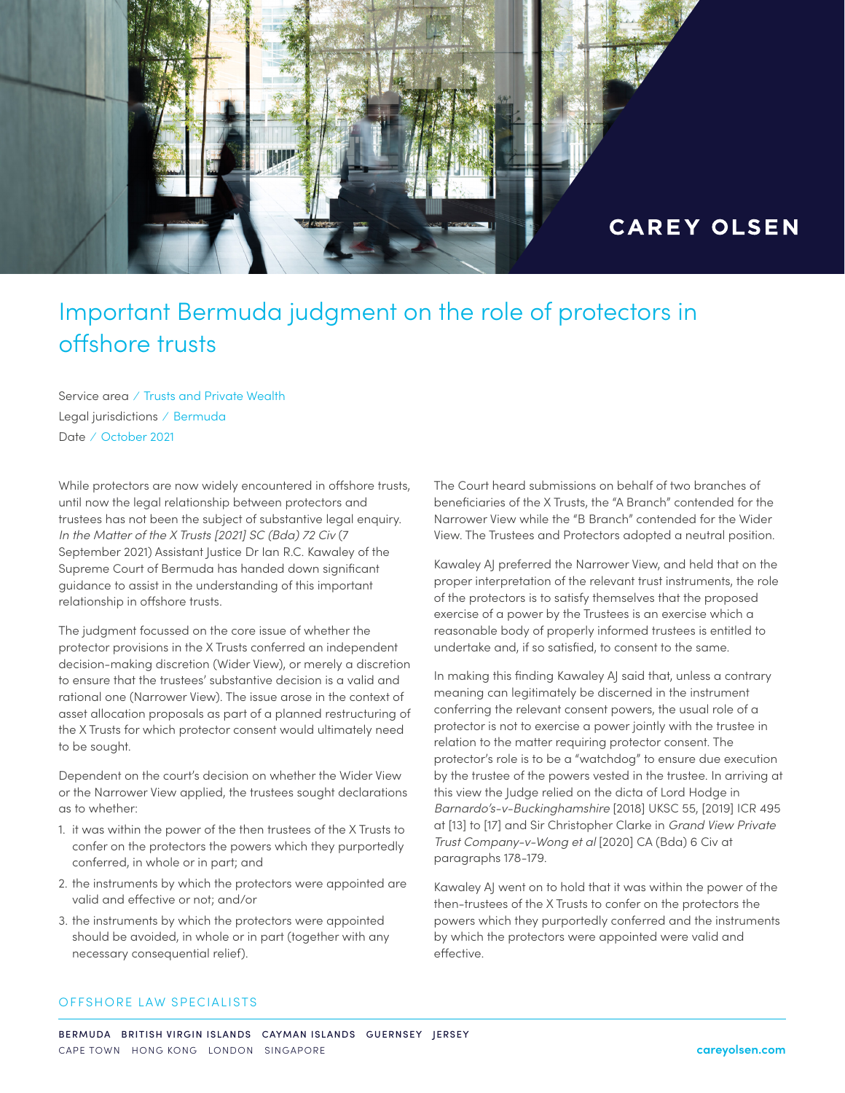

## Important Bermuda judgment on the role of protectors in offshore trusts

Service area ⁄ Trusts and Private Wealth Legal jurisdictions ⁄ Bermuda Date ⁄ October 2021

While protectors are now widely encountered in offshore trusts, until now the legal relationship between protectors and trustees has not been the subject of substantive legal enquiry. *In the Matter of the X Trusts [2021] SC (Bda) 72 Civ* (7 September 2021) Assistant Justice Dr Ian R.C. Kawaley of the Supreme Court of Bermuda has handed down significant guidance to assist in the understanding of this important relationship in offshore trusts.

The judgment focussed on the core issue of whether the protector provisions in the X Trusts conferred an independent decision-making discretion (Wider View), or merely a discretion to ensure that the trustees' substantive decision is a valid and rational one (Narrower View). The issue arose in the context of asset allocation proposals as part of a planned restructuring of the X Trusts for which protector consent would ultimately need to be sought.

Dependent on the court's decision on whether the Wider View or the Narrower View applied, the trustees sought declarations as to whether:

- 1. it was within the power of the then trustees of the X Trusts to confer on the protectors the powers which they purportedly conferred, in whole or in part; and
- 2. the instruments by which the protectors were appointed are valid and effective or not; and/or
- 3. the instruments by which the protectors were appointed should be avoided, in whole or in part (together with any necessary consequential relief).

The Court heard submissions on behalf of two branches of beneficiaries of the X Trusts, the "A Branch" contended for the Narrower View while the "B Branch" contended for the Wider View. The Trustees and Protectors adopted a neutral position.

Kawaley AJ preferred the Narrower View, and held that on the proper interpretation of the relevant trust instruments, the role of the protectors is to satisfy themselves that the proposed exercise of a power by the Trustees is an exercise which a reasonable body of properly informed trustees is entitled to undertake and, if so satisfied, to consent to the same.

In making this finding Kawaley AJ said that, unless a contrary meaning can legitimately be discerned in the instrument conferring the relevant consent powers, the usual role of a protector is not to exercise a power jointly with the trustee in relation to the matter requiring protector consent. The protector's role is to be a "watchdog" to ensure due execution by the trustee of the powers vested in the trustee. In arriving at this view the Judge relied on the dicta of Lord Hodge in *Barnardo's-v-Buckinghamshire* [2018] UKSC 55, [2019] ICR 495 at [13] to [17] and Sir Christopher Clarke in *Grand View Private Trust Company-v-Wong et al* [2020] CA (Bda) 6 Civ at paragraphs 178-179.

Kawaley AJ went on to hold that it was within the power of the then-trustees of the X Trusts to confer on the protectors the powers which they purportedly conferred and the instruments by which the protectors were appointed were valid and effective.

### OFFSHORE LAW SPECIALISTS